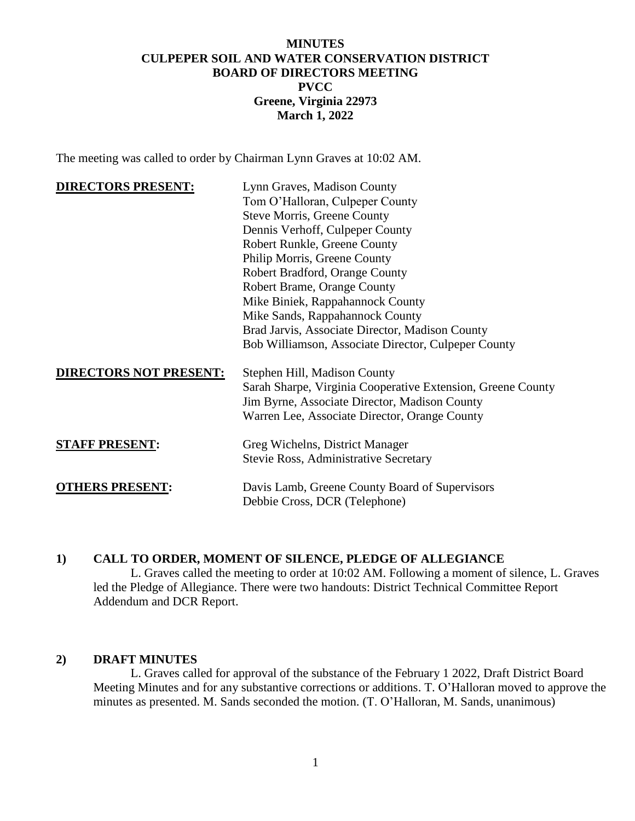# **MINUTES CULPEPER SOIL AND WATER CONSERVATION DISTRICT BOARD OF DIRECTORS MEETING PVCC Greene, Virginia 22973 March 1, 2022**

The meeting was called to order by Chairman Lynn Graves at 10:02 AM.

| <b>DIRECTORS PRESENT:</b>     | Lynn Graves, Madison County                                 |
|-------------------------------|-------------------------------------------------------------|
|                               | Tom O'Halloran, Culpeper County                             |
|                               | <b>Steve Morris, Greene County</b>                          |
|                               | Dennis Verhoff, Culpeper County                             |
|                               | Robert Runkle, Greene County                                |
|                               | Philip Morris, Greene County                                |
|                               | Robert Bradford, Orange County                              |
|                               | Robert Brame, Orange County                                 |
|                               | Mike Biniek, Rappahannock County                            |
|                               | Mike Sands, Rappahannock County                             |
|                               | Brad Jarvis, Associate Director, Madison County             |
|                               | Bob Williamson, Associate Director, Culpeper County         |
| <b>DIRECTORS NOT PRESENT:</b> | Stephen Hill, Madison County                                |
|                               | Sarah Sharpe, Virginia Cooperative Extension, Greene County |
|                               | Jim Byrne, Associate Director, Madison County               |
|                               | Warren Lee, Associate Director, Orange County               |
| <b>STAFF PRESENT:</b>         | Greg Wichelns, District Manager                             |
|                               | Stevie Ross, Administrative Secretary                       |
| <b>OTHERS PRESENT:</b>        | Davis Lamb, Greene County Board of Supervisors              |
|                               | Debbie Cross, DCR (Telephone)                               |

# **1) CALL TO ORDER, MOMENT OF SILENCE, PLEDGE OF ALLEGIANCE**

L. Graves called the meeting to order at 10:02 AM. Following a moment of silence, L. Graves led the Pledge of Allegiance. There were two handouts: District Technical Committee Report Addendum and DCR Report.

#### **2) DRAFT MINUTES**

L. Graves called for approval of the substance of the February 1 2022, Draft District Board Meeting Minutes and for any substantive corrections or additions. T. O'Halloran moved to approve the minutes as presented. M. Sands seconded the motion. (T. O'Halloran, M. Sands, unanimous)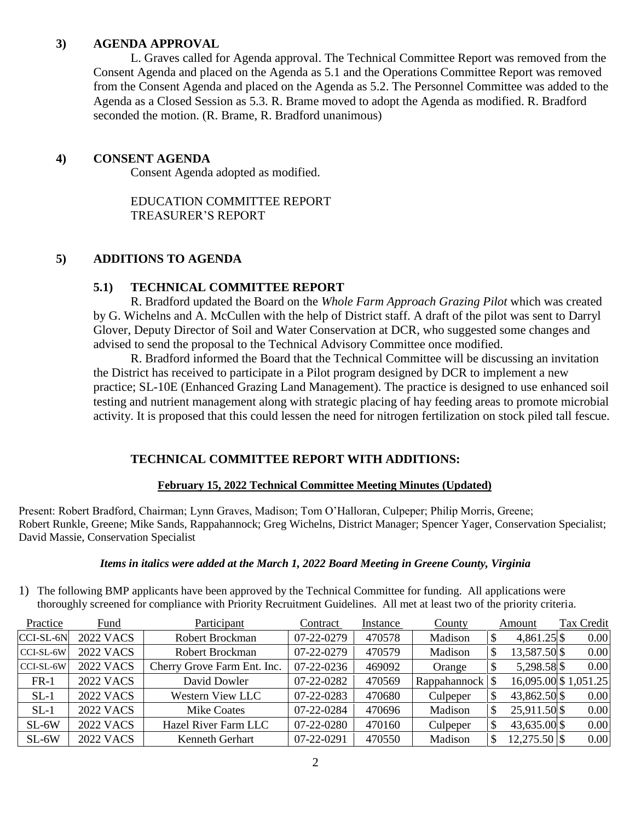# **3) AGENDA APPROVAL**

L. Graves called for Agenda approval. The Technical Committee Report was removed from the Consent Agenda and placed on the Agenda as 5.1 and the Operations Committee Report was removed from the Consent Agenda and placed on the Agenda as 5.2. The Personnel Committee was added to the Agenda as a Closed Session as 5.3. R. Brame moved to adopt the Agenda as modified. R. Bradford seconded the motion. (R. Brame, R. Bradford unanimous)

# **4) CONSENT AGENDA**

Consent Agenda adopted as modified.

EDUCATION COMMITTEE REPORT TREASURER'S REPORT

# **5) ADDITIONS TO AGENDA**

#### **5.1) TECHNICAL COMMITTEE REPORT**

R. Bradford updated the Board on the *Whole Farm Approach Grazing Pilot* which was created by G. Wichelns and A. McCullen with the help of District staff. A draft of the pilot was sent to Darryl Glover, Deputy Director of Soil and Water Conservation at DCR, who suggested some changes and advised to send the proposal to the Technical Advisory Committee once modified.

R. Bradford informed the Board that the Technical Committee will be discussing an invitation the District has received to participate in a Pilot program designed by DCR to implement a new practice; SL-10E (Enhanced Grazing Land Management). The practice is designed to use enhanced soil testing and nutrient management along with strategic placing of hay feeding areas to promote microbial activity. It is proposed that this could lessen the need for nitrogen fertilization on stock piled tall fescue.

# **TECHNICAL COMMITTEE REPORT WITH ADDITIONS:**

#### **February 15, 2022 Technical Committee Meeting Minutes (Updated)**

Present: Robert Bradford, Chairman; Lynn Graves, Madison; Tom O'Halloran, Culpeper; Philip Morris, Greene; Robert Runkle, Greene; Mike Sands, Rappahannock; Greg Wichelns, District Manager; Spencer Yager, Conservation Specialist; David Massie, Conservation Specialist

#### *Items in italics were added at the March 1, 2022 Board Meeting in Greene County, Virginia*

1) The following BMP applicants have been approved by the Technical Committee for funding. All applications were thoroughly screened for compliance with Priority Recruitment Guidelines. All met at least two of the priority criteria.

| Practice  | Fund             | Participant                 | Contract   | Instance | County       | Amount         | Tax Credit           |
|-----------|------------------|-----------------------------|------------|----------|--------------|----------------|----------------------|
| CCI-SL-6N | <b>2022 VACS</b> | Robert Brockman             | 07-22-0279 | 470578   | Madison      | $4,861.25$ \$  | 0.00                 |
| CCI-SL-6W | <b>2022 VACS</b> | Robert Brockman             | 07-22-0279 | 470579   | Madison      | 13,587.50 \$   | 0.00                 |
| CCI-SL-6W | <b>2022 VACS</b> | Cherry Grove Farm Ent. Inc. | 07-22-0236 | 469092   | Orange       | 5,298.58 \$    | 0.00                 |
| $FR-1$    | <b>2022 VACS</b> | David Dowler                | 07-22-0282 | 470569   | Rappahannock |                | 16,095.00 \$1,051.25 |
| $SL-1$    | <b>2022 VACS</b> | Western View LLC            | 07-22-0283 | 470680   | Culpeper     | 43,862.50 \$   | 0.00                 |
| $SL-1$    | <b>2022 VACS</b> | <b>Mike Coates</b>          | 07-22-0284 | 470696   | Madison      | 25,911.50 \$   | 0.00                 |
| $SL-6W$   | <b>2022 VACS</b> | Hazel River Farm LLC        | 07-22-0280 | 470160   | Culpeper     | 43,635.00 \$   | 0.00                 |
| $SL-6W$   | <b>2022 VACS</b> | Kenneth Gerhart             | 07-22-0291 | 470550   | Madison      | $12,275.50$ \$ | 0.00                 |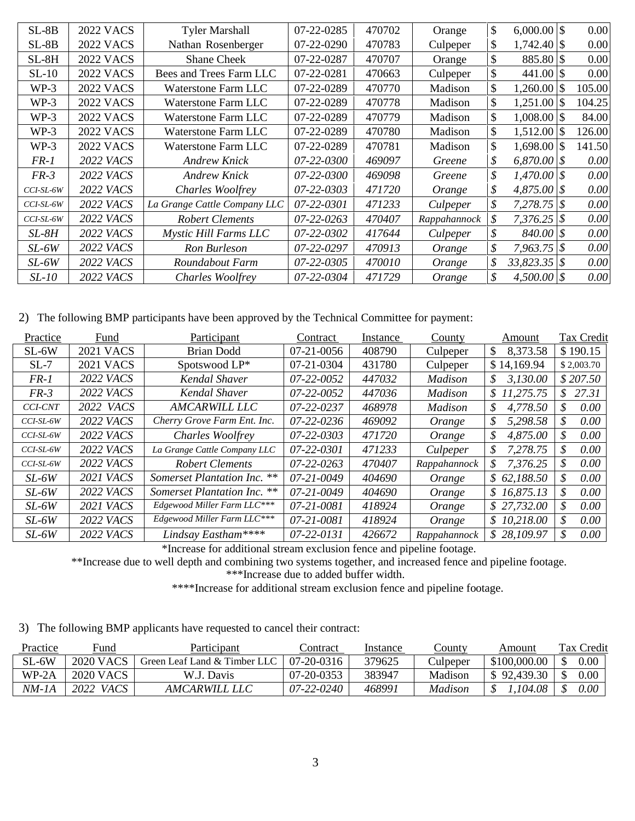| $SL-8B$   | <b>2022 VACS</b> | <b>Tyler Marshall</b>        | 07-22-0285 | 470702 | Orange       | \$                   | 0.00   |
|-----------|------------------|------------------------------|------------|--------|--------------|----------------------|--------|
| $SL-8B$   | <b>2022 VACS</b> | Nathan Rosenberger           | 07-22-0290 | 470783 | Culpeper     | \$<br>$1,742.40$ \\$ | 0.00   |
| $SL-8H$   | <b>2022 VACS</b> | <b>Shane Cheek</b>           | 07-22-0287 | 470707 | Orange       | \$<br>$885.80$ \\$   | 0.00   |
| $SL-10$   | <b>2022 VACS</b> | Bees and Trees Farm LLC      | 07-22-0281 | 470663 | Culpeper     | \$                   | 0.00   |
| $WP-3$    | <b>2022 VACS</b> | Waterstone Farm LLC          | 07-22-0289 | 470770 | Madison      | \$<br>1,260.00 \$    | 105.00 |
| $WP-3$    | <b>2022 VACS</b> | Waterstone Farm LLC          | 07-22-0289 | 470778 | Madison      | \$<br>$1,251.00$ \$  | 104.25 |
| $WP-3$    | <b>2022 VACS</b> | Waterstone Farm LLC          | 07-22-0289 | 470779 | Madison      | \$<br>$1,008.00$ \$  | 84.00  |
| $WP-3$    | <b>2022 VACS</b> | <b>Waterstone Farm LLC</b>   | 07-22-0289 | 470780 | Madison      | \$<br>$1,512.00$ \\$ | 126.00 |
| $WP-3$    | <b>2022 VACS</b> | Waterstone Farm LLC          | 07-22-0289 | 470781 | Madison      | \$<br>$1,698.00$ \\$ | 141.50 |
| FR-1      | <b>2022 VACS</b> | <b>Andrew Knick</b>          | 07-22-0300 | 469097 | Greene       | \$<br>$6,870.00$ \\$ | 0.00   |
| $FR-3$    | <b>2022 VACS</b> | <b>Andrew Knick</b>          | 07-22-0300 | 469098 | Greene       | \$<br>$1,470.00$ \\$ | 0.00   |
| CCI-SL-6W | <b>2022 VACS</b> | Charles Woolfrey             | 07-22-0303 | 471720 | Orange       | \$<br>$4,875.00$ \$  | 0.00   |
| CCI-SL-6W | 2022 <i>VACS</i> | La Grange Cattle Company LLC | 07-22-0301 | 471233 | Culpeper     | \$<br>$7,278.75$ \$  | 0.00   |
| CCI-SL-6W | <b>2022 VACS</b> | <b>Robert Clements</b>       | 07-22-0263 | 470407 | Rappahannock | \$<br>$7,376.25$ \$  | 0.00   |
| $SL-8H$   | 2022 VACS        | Mystic Hill Farms LLC        | 07-22-0302 | 417644 | Culpeper     | \$<br>$840.00$ \$    | 0.00   |
| SL-6W     | 2022 VACS        | Ron Burleson                 | 07-22-0297 | 470913 | Orange       | \$<br>$7,963.75$ \$  | 0.00   |
| SL-6W     | <b>2022 VACS</b> | Roundabout Farm              | 07-22-0305 | 470010 | Orange       | \$<br>$33,823.35$ \$ | 0.00   |
| SL-10     | <b>2022 VACS</b> | Charles Woolfrey             | 07-22-0304 | 471729 | Orange       | \$<br>$4,500.00$ \\$ | 0.00   |

2) The following BMP participants have been approved by the Technical Committee for payment:

| Practice       | Fund             | Participant                                   | Contract         | Instance | County         | Amount         | Tax Credit |
|----------------|------------------|-----------------------------------------------|------------------|----------|----------------|----------------|------------|
| $SL-6W$        | <b>2021 VACS</b> | <b>Brian Dodd</b>                             | 07-21-0056       | 408790   | Culpeper       | 8,373.58<br>\$ | \$190.15   |
| $SL-7$         | <b>2021 VACS</b> | Spotswood LP*                                 | 07-21-0304       | 431780   | Culpeper       | \$14,169.94    | \$2,003.70 |
| $FR-1$         | 2022 <i>VACS</i> | Kendal Shaver                                 | 07-22-0052       | 447032   | <b>Madison</b> | 3,130.00<br>S  | \$207.50   |
| $FR-3$         | 2022 <i>VACS</i> | Kendal Shaver                                 | 07-22-0052       | 447036   | Madison        | \$11,275.75    | \$27.31    |
| <b>CCI-CNT</b> | 2022 VACS        | <b>AMCARWILL LLC</b>                          | 07-22-0237       | 468978   | Madison        | 4,778.50<br>S  | \$<br>0.00 |
| CCI-SL-6W      | <b>2022 VACS</b> | Cherry Grove Farm Ent. Inc.                   | 07-22-0236       | 469092   | Orange         | 5,298.58<br>\$ | S<br>0.00  |
| CCI-SL-6W      | <b>2022 VACS</b> | Charles Woolfrey                              | 07-22-0303       | 471720   | Orange         | 4,875.00<br>\$ | \$<br>0.00 |
| CCI-SL-6W      | 2022 VACS        | La Grange Cattle Company LLC                  | 07-22-0301       | 471233   | Culpeper       | 7,278.75<br>S  | 0.00<br>S  |
| CCI-SL-6W      | <b>2022 VACS</b> | <b>Robert Clements</b>                        | $07 - 22 - 0263$ | 470407   | Rappahannock   | 7,376.25<br>S  | 0.00<br>S  |
| $SL-6W$        | 2021 <i>VACS</i> | <b>Somerset Plantation Inc.</b><br>$\ast\ast$ | 07-21-0049       | 404690   | Orange         | \$62,188.50    | 0.00<br>S  |
| $SL-6W$        | 2022 VACS        | Somerset Plantation Inc. **                   | 07-21-0049       | 404690   | Orange         | \$16,875.13    | \$<br>0.00 |
| $SL-6W$        | <b>2021 VACS</b> | Edgewood Miller Farm LLC***                   | 07-21-0081       | 418924   | Orange         | \$27,732.00    | S<br>0.00  |
| $SL-6W$        | <b>2022 VACS</b> | Edgewood Miller Farm LLC***                   | 07-21-0081       | 418924   | Orange         | \$10,218.00    | \$<br>0.00 |
| $SL-6W$        | <b>2022 VACS</b> | Lindsay Eastham****                           | 07-22-0131       | 426672   | Rappahannock   | \$28,109.97    | 0.00<br>S. |

\*Increase for additional stream exclusion fence and pipeline footage.

\*\*Increase due to well depth and combining two systems together, and increased fence and pipeline footage.

\*\*\*Increase due to added buffer width.

\*\*\*\*Increase for additional stream exclusion fence and pipeline footage.

3) The following BMP applicants have requested to cancel their contract:

| Practice | Fund                | Participant                  | Contract         | Instance | County   | Amount       | Tax Credit |
|----------|---------------------|------------------------------|------------------|----------|----------|--------------|------------|
| $SL-6W$  | <b>2020 VACS</b>    | Green Leaf Land & Timber LLC | 07-20-0316       | 379625   | Culpeper | \$100,000.00 | 0.00       |
| WP-2A    | 2020 VACS           | W.J. Davis                   | $07 - 20 - 0353$ | 383947   | Madison  | \$92,439.30  | 0.00       |
| NM-1A    | 2022<br><i>VACS</i> | <i>AMCARWILL LLC</i>         | $07 - 22 - 0240$ | 468991   | Madison  | 104.08       | $0.00\,$   |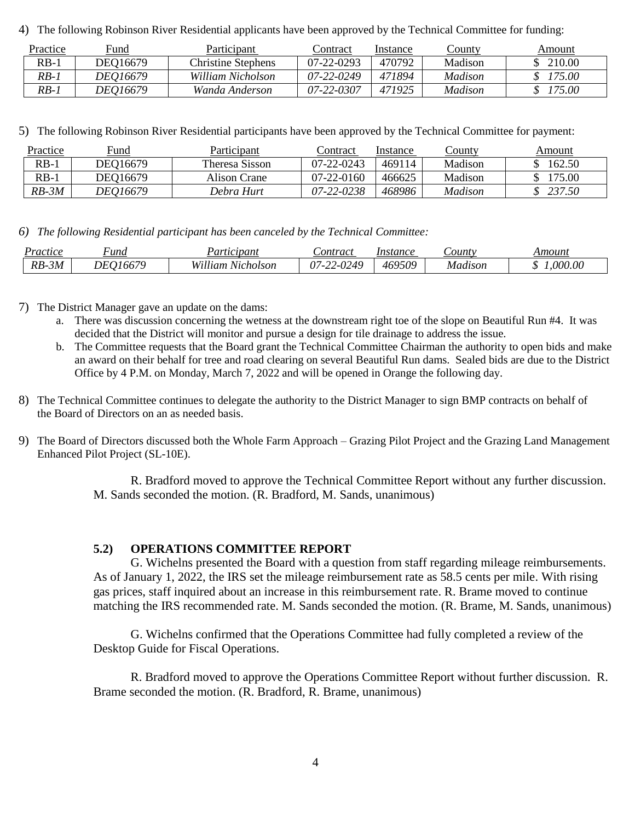4) The following Robinson River Residential applicants have been approved by the Technical Committee for funding:

| Practice | Fund            | Participant        | ∠ontract         | Instance | <u>County</u> | Amount |
|----------|-----------------|--------------------|------------------|----------|---------------|--------|
| $RB-1$   | DEO16679        | Christine Stephens | $07 - 22 - 0293$ | 470792   | Madison       | 210.00 |
| $RB-1$   | <i>DEO16679</i> | William Nicholson  | $07 - 22 - 0249$ | 471894   | Madison       | 175.00 |
| $RB-1$   | <i>DEO16679</i> | Wanda Anderson     | 07-22-0307       | 471925   | Madison       | 175.00 |

5) The following Robinson River Residential participants have been approved by the Technical Committee for payment:

| Practice | Fund            | Participant    | Contract         | Instance | County  | Amount |
|----------|-----------------|----------------|------------------|----------|---------|--------|
| $RB-$    | DEO16679        | Theresa Sisson | $07 - 22 - 0243$ | 469114   | Madison | 162.50 |
| $RB-$    | DEO16679        | Alison Crane   | $07-22-0160$     | 466625   | Madison | 175.00 |
| $RB-3M$  | <i>DEO16679</i> | Debra Hurt     | 07-22-0238       | 468986   | Madison | 237.50 |

*6) The following Residential participant has been canceled by the Technical Committee:*

| Practice | 'ипа     | Participant       | Sontract   | Instance | <i>Sounty</i> | Amount  |
|----------|----------|-------------------|------------|----------|---------------|---------|
| $RB-3M$  | DE016679 | William Nicholson | 07-22-0249 | 469509   | Madison       | .000.00 |

7) The District Manager gave an update on the dams:

- a. There was discussion concerning the wetness at the downstream right toe of the slope on Beautiful Run #4. It was decided that the District will monitor and pursue a design for tile drainage to address the issue.
- b. The Committee requests that the Board grant the Technical Committee Chairman the authority to open bids and make an award on their behalf for tree and road clearing on several Beautiful Run dams. Sealed bids are due to the District Office by 4 P.M. on Monday, March 7, 2022 and will be opened in Orange the following day.
- 8) The Technical Committee continues to delegate the authority to the District Manager to sign BMP contracts on behalf of the Board of Directors on an as needed basis.
- 9) The Board of Directors discussed both the Whole Farm Approach Grazing Pilot Project and the Grazing Land Management Enhanced Pilot Project (SL-10E).

R. Bradford moved to approve the Technical Committee Report without any further discussion. M. Sands seconded the motion. (R. Bradford, M. Sands, unanimous)

# **5.2) OPERATIONS COMMITTEE REPORT**

G. Wichelns presented the Board with a question from staff regarding mileage reimbursements. As of January 1, 2022, the IRS set the mileage reimbursement rate as 58.5 cents per mile. With rising gas prices, staff inquired about an increase in this reimbursement rate. R. Brame moved to continue matching the IRS recommended rate. M. Sands seconded the motion. (R. Brame, M. Sands, unanimous)

G. Wichelns confirmed that the Operations Committee had fully completed a review of the Desktop Guide for Fiscal Operations.

R. Bradford moved to approve the Operations Committee Report without further discussion. R. Brame seconded the motion. (R. Bradford, R. Brame, unanimous)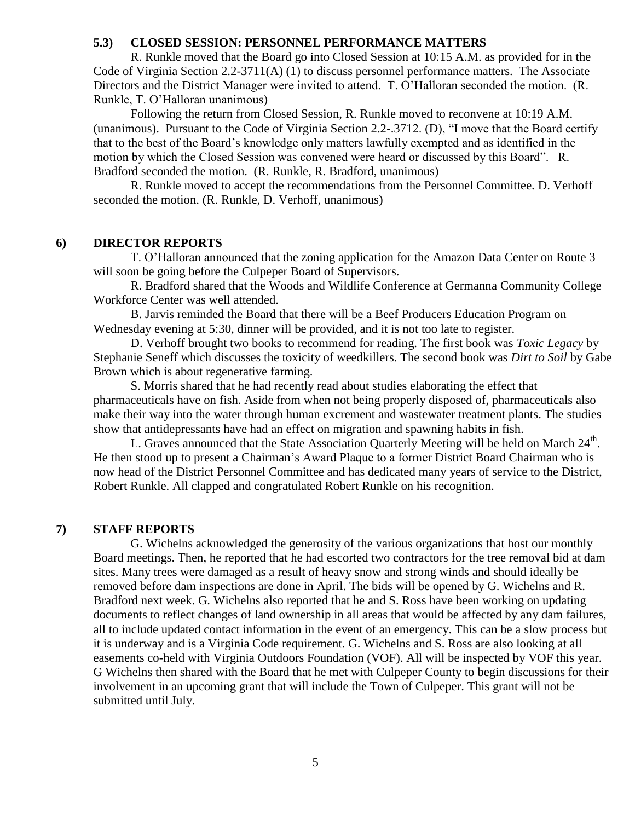#### **5.3) CLOSED SESSION: PERSONNEL PERFORMANCE MATTERS**

R. Runkle moved that the Board go into Closed Session at 10:15 A.M. as provided for in the Code of Virginia Section 2.2-3711(A) (1) to discuss personnel performance matters. The Associate Directors and the District Manager were invited to attend. T. O'Halloran seconded the motion. (R. Runkle, T. O'Halloran unanimous)

Following the return from Closed Session, R. Runkle moved to reconvene at 10:19 A.M. (unanimous). Pursuant to the Code of Virginia Section 2.2-.3712. (D), "I move that the Board certify that to the best of the Board's knowledge only matters lawfully exempted and as identified in the motion by which the Closed Session was convened were heard or discussed by this Board". R. Bradford seconded the motion. (R. Runkle, R. Bradford, unanimous)

R. Runkle moved to accept the recommendations from the Personnel Committee. D. Verhoff seconded the motion. (R. Runkle, D. Verhoff, unanimous)

# **6) DIRECTOR REPORTS**

T. O'Halloran announced that the zoning application for the Amazon Data Center on Route 3 will soon be going before the Culpeper Board of Supervisors.

R. Bradford shared that the Woods and Wildlife Conference at Germanna Community College Workforce Center was well attended.

B. Jarvis reminded the Board that there will be a Beef Producers Education Program on Wednesday evening at 5:30, dinner will be provided, and it is not too late to register.

D. Verhoff brought two books to recommend for reading. The first book was *Toxic Legacy* by Stephanie Seneff which discusses the toxicity of weedkillers. The second book was *Dirt to Soil* by Gabe Brown which is about regenerative farming.

S. Morris shared that he had recently read about studies elaborating the effect that pharmaceuticals have on fish. Aside from when not being properly disposed of, pharmaceuticals also make their way into the water through human excrement and wastewater treatment plants. The studies show that antidepressants have had an effect on migration and spawning habits in fish.

L. Graves announced that the State Association Quarterly Meeting will be held on March  $24<sup>th</sup>$ . He then stood up to present a Chairman's Award Plaque to a former District Board Chairman who is now head of the District Personnel Committee and has dedicated many years of service to the District, Robert Runkle. All clapped and congratulated Robert Runkle on his recognition.

#### **7) STAFF REPORTS**

G. Wichelns acknowledged the generosity of the various organizations that host our monthly Board meetings. Then, he reported that he had escorted two contractors for the tree removal bid at dam sites. Many trees were damaged as a result of heavy snow and strong winds and should ideally be removed before dam inspections are done in April. The bids will be opened by G. Wichelns and R. Bradford next week. G. Wichelns also reported that he and S. Ross have been working on updating documents to reflect changes of land ownership in all areas that would be affected by any dam failures, all to include updated contact information in the event of an emergency. This can be a slow process but it is underway and is a Virginia Code requirement. G. Wichelns and S. Ross are also looking at all easements co-held with Virginia Outdoors Foundation (VOF). All will be inspected by VOF this year. G Wichelns then shared with the Board that he met with Culpeper County to begin discussions for their involvement in an upcoming grant that will include the Town of Culpeper. This grant will not be submitted until July.